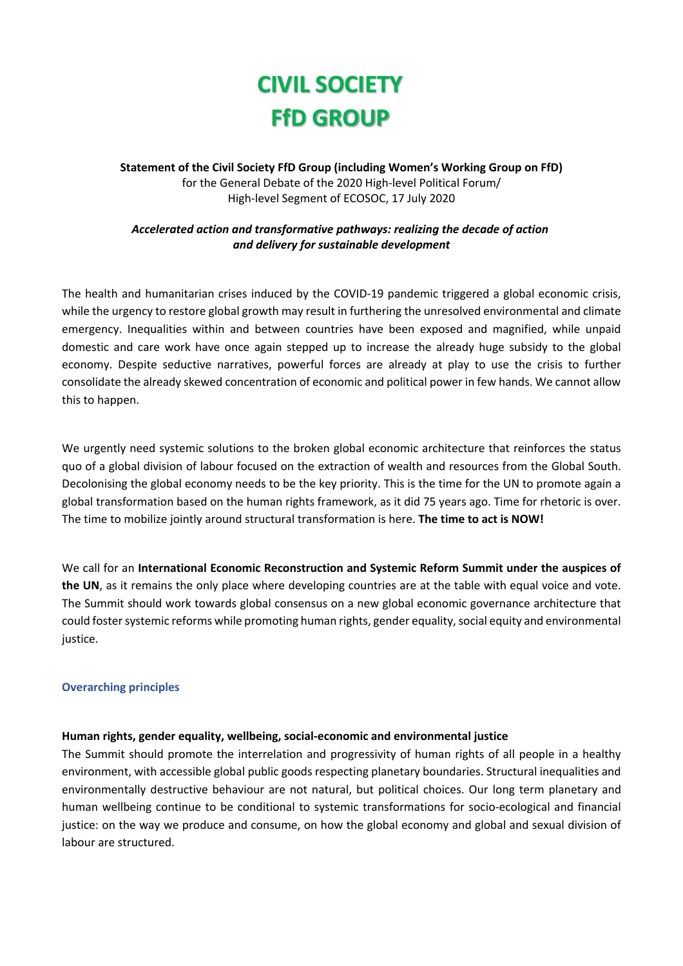# **CIVIL SOCIETY FfD GROUP**

**Statement of the Civil Society FfD Group (including Women's Working Group on FfD)** for the General Debate of the 2020 High-level Political Forum/ High-level Segment of ECOSOC, 17 July 2020

# *Accelerated action and transformative pathways: realizing the decade of action and delivery for sustainable development*

The health and humanitarian crises induced by the COVID-19 pandemic triggered a global economic crisis, while the urgency to restore global growth may result in furthering the unresolved environmental and climate emergency. Inequalities within and between countries have been exposed and magnified, while unpaid domestic and care work have once again stepped up to increase the already huge subsidy to the global economy. Despite seductive narratives, powerful forces are already at play to use the crisis to further consolidate the already skewed concentration of economic and political power in few hands. We cannot allow this to happen.

We urgently need systemic solutions to the broken global economic architecture that reinforces the status quo of a global division of labour focused on the extraction of wealth and resources from the Global South. Decolonising the global economy needs to be the key priority. This is the time for the UN to promote again a global transformation based on the human rights framework, as it did 75 years ago. Time for rhetoric is over. The time to mobilize jointly around structural transformation is here. **The time to act is NOW!**

We call for an **International Economic Reconstruction and Systemic Reform Summit under the auspices of the UN**, as it remains the only place where developing countries are at the table with equal voice and vote. The Summit should work towards global consensus on a new global economic governance architecture that could foster systemic reforms while promoting human rights, gender equality, social equity and environmental justice.

#### **Overarching principles**

#### **Human rights, gender equality, wellbeing, social-economic and environmental justice**

The Summit should promote the interrelation and progressivity of human rights of all people in a healthy environment, with accessible global public goods respecting planetary boundaries. Structural inequalities and environmentally destructive behaviour are not natural, but political choices. Our long term planetary and human wellbeing continue to be conditional to systemic transformations for socio-ecological and financial justice: on the way we produce and consume, on how the global economy and global and sexual division of labour are structured.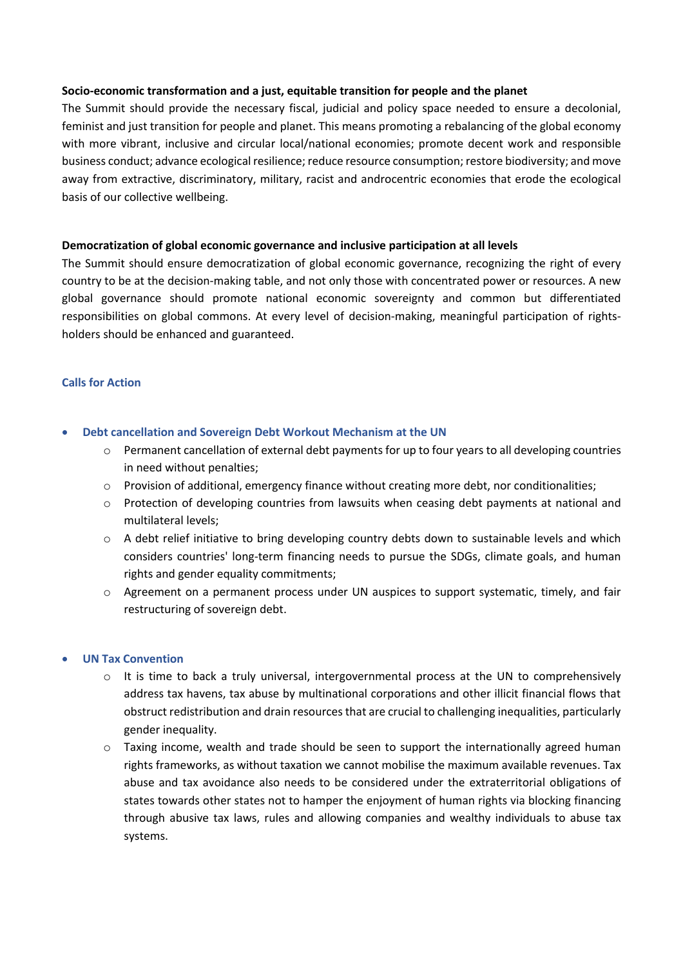#### **Socio-economic transformation and a just, equitable transition for people and the planet**

The Summit should provide the necessary fiscal, judicial and policy space needed to ensure a decolonial, feminist and just transition for people and planet. This means promoting a rebalancing of the global economy with more vibrant, inclusive and circular local/national economies; promote decent work and responsible business conduct; advance ecological resilience; reduce resource consumption; restore biodiversity; and move away from extractive, discriminatory, military, racist and androcentric economies that erode the ecological basis of our collective wellbeing.

### **Democratization of global economic governance and inclusive participation at all levels**

The Summit should ensure democratization of global economic governance, recognizing the right of every country to be at the decision-making table, and not only those with concentrated power or resources. A new global governance should promote national economic sovereignty and common but differentiated responsibilities on global commons. At every level of decision-making, meaningful participation of rightsholders should be enhanced and guaranteed.

# **Calls for Action**

- **Debt cancellation and Sovereign Debt Workout Mechanism at the UN**
	- Permanent cancellation of external debt payments for up to four years to all developing countries in need without penalties;
	- $\circ$  Provision of additional, emergency finance without creating more debt, nor conditionalities;
	- $\circ$  Protection of developing countries from lawsuits when ceasing debt payments at national and multilateral levels;
	- o A debt relief initiative to bring developing country debts down to sustainable levels and which considers countries' long-term financing needs to pursue the SDGs, climate goals, and human rights and gender equality commitments;
	- $\circ$  Agreement on a permanent process under UN auspices to support systematic, timely, and fair restructuring of sovereign debt.

#### • **UN Tax Convention**

- $\circ$  It is time to back a truly universal, intergovernmental process at the UN to comprehensively address tax havens, tax abuse by multinational corporations and other illicit financial flows that obstruct redistribution and drain resources that are crucial to challenging inequalities, particularly gender inequality.
- $\circ$  Taxing income, wealth and trade should be seen to support the internationally agreed human rights frameworks, as without taxation we cannot mobilise the maximum available revenues. Tax abuse and tax avoidance also needs to be considered under the extraterritorial obligations of states towards other states not to hamper the enjoyment of human rights via blocking financing through abusive tax laws, rules and allowing companies and wealthy individuals to abuse tax systems.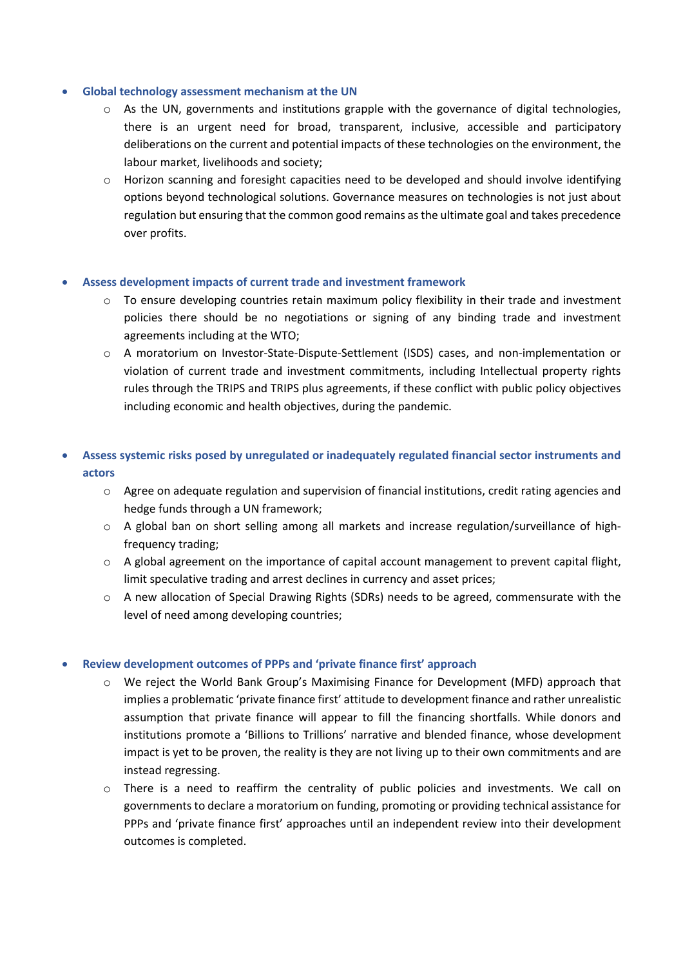#### • **Global technology assessment mechanism at the UN**

- $\circ$  As the UN, governments and institutions grapple with the governance of digital technologies, there is an urgent need for broad, transparent, inclusive, accessible and participatory deliberations on the current and potential impacts of these technologies on the environment, the labour market, livelihoods and society;
- o Horizon scanning and foresight capacities need to be developed and should involve identifying options beyond technological solutions. Governance measures on technologies is not just about regulation but ensuring that the common good remains as the ultimate goal and takes precedence over profits.

#### • **Assess development impacts of current trade and investment framework**

- $\circ$  To ensure developing countries retain maximum policy flexibility in their trade and investment policies there should be no negotiations or signing of any binding trade and investment agreements including at the WTO;
- o A moratorium on Investor-State-Dispute-Settlement (ISDS) cases, and non-implementation or violation of current trade and investment commitments, including Intellectual property rights rules through the TRIPS and TRIPS plus agreements, if these conflict with public policy objectives including economic and health objectives, during the pandemic.

# • **Assess systemic risks posed by unregulated or inadequately regulated financial sector instruments and actors**

- o Agree on adequate regulation and supervision of financial institutions, credit rating agencies and hedge funds through a UN framework;
- o A global ban on short selling among all markets and increase regulation/surveillance of highfrequency trading;
- $\circ$  A global agreement on the importance of capital account management to prevent capital flight, limit speculative trading and arrest declines in currency and asset prices;
- o A new allocation of Special Drawing Rights (SDRs) needs to be agreed, commensurate with the level of need among developing countries;

#### • **Review development outcomes of PPPs and 'private finance first' approach**

- o We reject the World Bank Group's Maximising Finance for Development (MFD) approach that implies a problematic 'private finance first' attitude to development finance and rather unrealistic assumption that private finance will appear to fill the financing shortfalls. While donors and institutions promote a 'Billions to Trillions' narrative and blended finance, whose development impact is yet to be proven, the reality is they are not living up to their own commitments and are instead regressing.
- $\circ$  There is a need to reaffirm the centrality of public policies and investments. We call on governments to declare a moratorium on funding, promoting or providing technical assistance for PPPs and 'private finance first' approaches until an independent review into their development outcomes is completed.